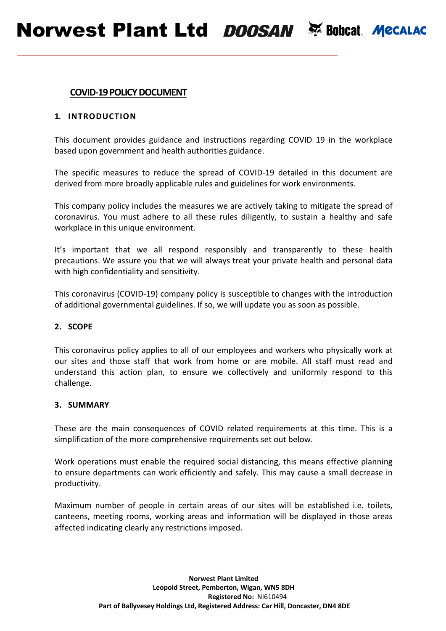# **COVID-19 POLICY DOCUMENT**

# **1. INTRODUCTION**

This document provides guidance and instructions regarding COVID 19 in the workplace based upon government and health authorities guidance.

The specific measures to reduce the spread of COVID-19 detailed in this document are derived from more broadly applicable rules and guidelines for work environments.

This company policy includes the measures we are actively taking to mitigate the spread of coronavirus. You must adhere to all these rules diligently, to sustain a healthy and safe workplace in this unique environment.

It's important that we all respond responsibly and transparently to these health precautions. We assure you that we will always treat your private health and personal data with high confidentiality and sensitivity.

This coronavirus (COVID-19) company policy is susceptible to changes with the introduction of additional governmental guidelines. If so, we will update you as soon as possible.

### **2. SCOPE**

This coronavirus policy applies to all of our employees and workers who physically work at our sites and those staff that work from home or are mobile. All staff must read and understand this action plan, to ensure we collectively and uniformly respond to this challenge.

### **3. SUMMARY**

These are the main consequences of COVID related requirements at this time. This is a simplification of the more comprehensive requirements set out below.

Work operations must enable the required social distancing, this means effective planning to ensure departments can work efficiently and safely. This may cause a small decrease in productivity.

Maximum number of people in certain areas of our sites will be established i.e. toilets, canteens, meeting rooms, working areas and information will be displayed in those areas affected indicating clearly any restrictions imposed.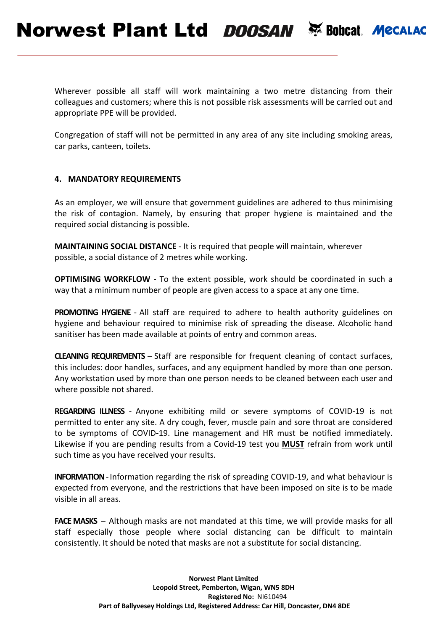Wherever possible all staff will work maintaining a two metre distancing from their colleagues and customers; where this is not possible risk assessments will be carried out and appropriate PPE will be provided.

Congregation of staff will not be permitted in any area of any site including smoking areas, car parks, canteen, toilets.

# **4. MANDATORY REQUIREMENTS**

As an employer, we will ensure that government guidelines are adhered to thus minimising the risk of contagion. Namely, by ensuring that proper hygiene is maintained and the required social distancing is possible.

**MAINTAINING SOCIAL DISTANCE** - It is required that people will maintain, wherever possible, a social distance of 2 metres while working.

**OPTIMISING WORKFLOW** - To the extent possible, work should be coordinated in such a way that a minimum number of people are given access to a space at any one time.

**PROMOTING HYGIENE** - All staff are required to adhere to health authority guidelines on hygiene and behaviour required to minimise risk of spreading the disease. Alcoholic hand sanitiser has been made available at points of entry and common areas.

**CLEANING REQUIREMENTS** – Staff are responsible for frequent cleaning of contact surfaces, this includes: door handles, surfaces, and any equipment handled by more than one person. Any workstation used by more than one person needs to be cleaned between each user and where possible not shared.

**REGARDING ILLNESS** - Anyone exhibiting mild or severe symptoms of COVID-19 is not permitted to enter any site. A dry cough, fever, muscle pain and sore throat are considered to be symptoms of COVID-19. Line management and HR must be notified immediately. Likewise if you are pending results from a Covid-19 test you **MUST** refrain from work until such time as you have received your results.

**INFORMATION**-Information regarding the risk of spreading COVID-19, and what behaviour is expected from everyone, and the restrictions that have been imposed on site is to be made visible in all areas.

**FACE MASKS** – Although masks are not mandated at this time, we will provide masks for all staff especially those people where social distancing can be difficult to maintain consistently. It should be noted that masks are not a substitute for social distancing.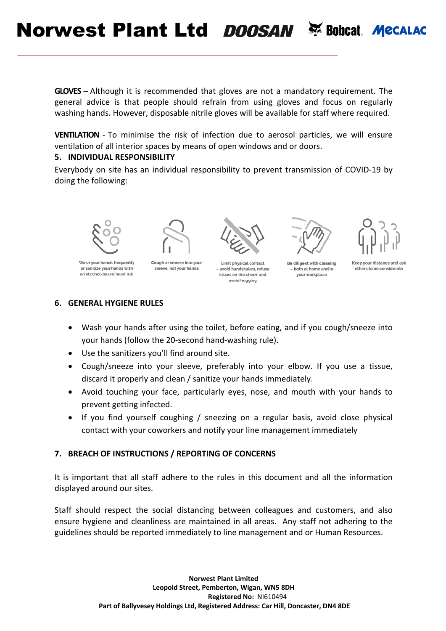Norwest Plant Ltd DOOSAN & Bobcat. Mecalac

**GLOVES** – Although it is recommended that gloves are not a mandatory requirement. The general advice is that people should refrain from using gloves and focus on regularly washing hands. However, disposable nitrile gloves will be available for staff where required.

**VENTILATION** - To minimise the risk of infection due to aerosol particles, we will ensure ventilation of all interior spaces by means of open windows and or doors.

### **5. INDIVIDUAL RESPONSIBILITY**

Everybody on site has an individual responsibility to prevent transmission of COVID-19 by doing the following:



Wash your hands frequently or sanitize your hands with an alcohol-based hand rub

Cough or sneeze into your sleeve, not your hands



Limit physical contact - avoid handshakes, refuse kisses on the cheek and avoid hugging



Be diligent with cleaning - both at home and in vour workplace



# **6. GENERAL HYGIENE RULES**

- Wash your hands after using the toilet, before eating, and if you cough/sneeze into your hands (follow the 20-second hand-washing rule).
- Use the sanitizers you'll find around site.
- Cough/sneeze into your sleeve, preferably into your elbow. If you use a tissue, discard it properly and clean / sanitize your hands immediately.
- Avoid touching your face, particularly eyes, nose, and mouth with your hands to prevent getting infected.
- If you find yourself coughing / sneezing on a regular basis, avoid close physical contact with your coworkers and notify your line management immediately

# **7. BREACH OF INSTRUCTIONS / REPORTING OF CONCERNS**

It is important that all staff adhere to the rules in this document and all the information displayed around our sites.

Staff should respect the social distancing between colleagues and customers, and also ensure hygiene and cleanliness are maintained in all areas. Any staff not adhering to the guidelines should be reported immediately to line management and or Human Resources.